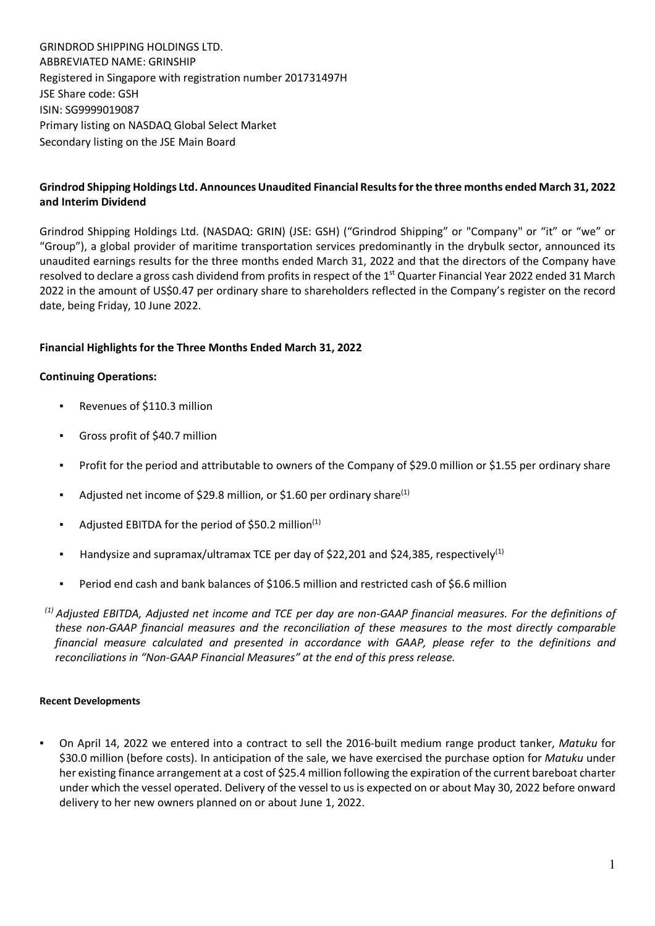GRINDROD SHIPPING HOLDINGS LTD. ABBREVIATED NAME: GRINSHIP Registered in Singapore with registration number 201731497H JSE Share code: GSH ISIN: SG9999019087 Primary listing on NASDAQ Global Select Market Secondary listing on the JSE Main Board

## **Grindrod Shipping Holdings Ltd. Announces Unaudited Financial Results for the three months ended March 31, 2022 and Interim Dividend**

Grindrod Shipping Holdings Ltd. (NASDAQ: GRIN) (JSE: GSH) ("Grindrod Shipping" or "Company" or "it" or "we" or "Group"), a global provider of maritime transportation services predominantly in the drybulk sector, announced its unaudited earnings results for the three months ended March 31, 2022 and that the directors of the Company have resolved to declare a gross cash dividend from profits in respect of the 1<sup>st</sup> Quarter Financial Year 2022 ended 31 March 2022 in the amount of US\$0.47 per ordinary share to shareholders reflected in the Company's register on the record date, being Friday, 10 June 2022.

# **Financial Highlights for the Three Months Ended March 31, 2022**

### **Continuing Operations:**

- Revenues of \$110.3 million
- Gross profit of \$40.7 million
- Profit for the period and attributable to owners of the Company of \$29.0 million or \$1.55 per ordinary share
- Adjusted net income of \$29.8 million, or \$1.60 per ordinary share<sup>(1)</sup>
- Adjusted EBITDA for the period of \$50.2 million $(1)$
- Handysize and supramax/ultramax TCE per day of \$22,201 and \$24,385, respectively<sup>(1)</sup>
- Period end cash and bank balances of \$106.5 million and restricted cash of \$6.6 million

*(1) Adjusted EBITDA, Adjusted net income and TCE per day are non-GAAP financial measures. For the definitions of these non-GAAP financial measures and the reconciliation of these measures to the most directly comparable financial measure calculated and presented in accordance with GAAP, please refer to the definitions and reconciliations in "Non-GAAP Financial Measures" at the end of this press release.*

#### **Recent Developments**

▪ On April 14, 2022 we entered into a contract to sell the 2016-built medium range product tanker, *Matuku* for \$30.0 million (before costs). In anticipation of the sale, we have exercised the purchase option for *Matuku* under her existing finance arrangement at a cost of \$25.4 million following the expiration of the current bareboat charter under which the vessel operated. Delivery of the vessel to us is expected on or about May 30, 2022 before onward delivery to her new owners planned on or about June 1, 2022.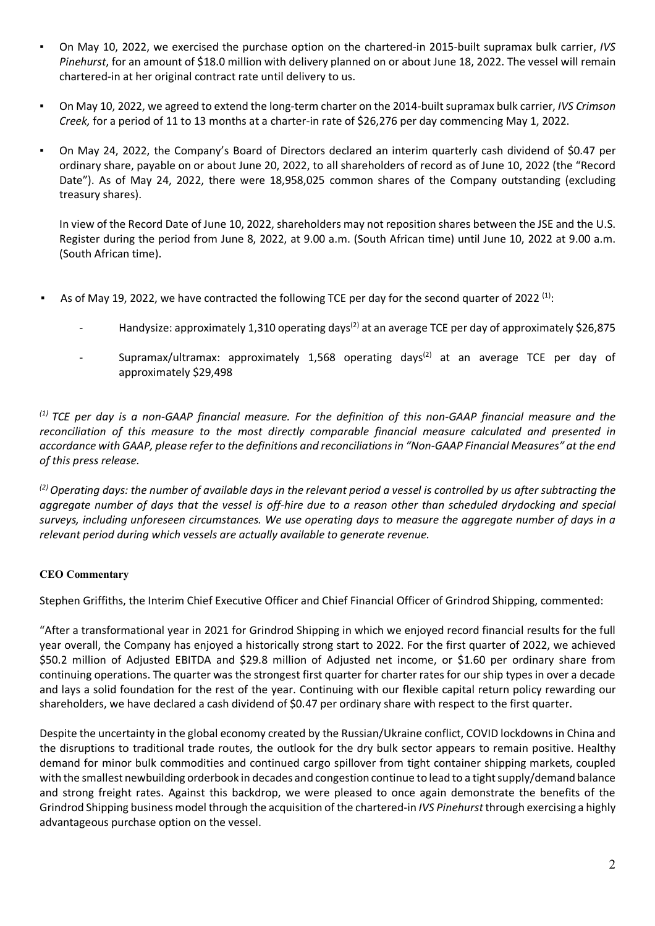- On May 10, 2022, we exercised the purchase option on the chartered-in 2015-built supramax bulk carrier, *IVS Pinehurst*, for an amount of \$18.0 million with delivery planned on or about June 18, 2022. The vessel will remain chartered-in at her original contract rate until delivery to us.
- On May 10, 2022, we agreed to extend the long-term charter on the 2014-built supramax bulk carrier, *IVS Crimson Creek,* for a period of 11 to 13 months at a charter-in rate of \$26,276 per day commencing May 1, 2022.
- On May 24, 2022, the Company's Board of Directors declared an interim quarterly cash dividend of \$0.47 per ordinary share, payable on or about June 20, 2022, to all shareholders of record as of June 10, 2022 (the "Record Date"). As of May 24, 2022, there were 18,958,025 common shares of the Company outstanding (excluding treasury shares).

In view of the Record Date of June 10, 2022, shareholders may not reposition shares between the JSE and the U.S. Register during the period from June 8, 2022, at 9.00 a.m. (South African time) until June 10, 2022 at 9.00 a.m. (South African time).

- **•** As of May 19, 2022, we have contracted the following TCE per day for the second quarter of 2022<sup>(1)</sup>:
	- Handysize: approximately 1,310 operating days<sup>(2)</sup> at an average TCE per day of approximately \$26,875
	- Supramax/ultramax: approximately 1,568 operating days<sup>(2)</sup> at an average TCE per day of approximately \$29,498

*(1) TCE per day is a non-GAAP financial measure. For the definition of this non-GAAP financial measure and the reconciliation of this measure to the most directly comparable financial measure calculated and presented in accordance with GAAP, please refer to the definitions and reconciliations in "Non-GAAP Financial Measures" at the end of this press release.*

*(2) Operating days: the number of available days in the relevant period a vessel is controlled by us after subtracting the*  aggregate number of days that the vessel is off-hire due to a reason other than scheduled drydocking and special *surveys, including unforeseen circumstances. We use operating days to measure the aggregate number of days in a relevant period during which vessels are actually available to generate revenue.*

### **CEO Commentary**

Stephen Griffiths, the Interim Chief Executive Officer and Chief Financial Officer of Grindrod Shipping, commented:

"After a transformational year in 2021 for Grindrod Shipping in which we enjoyed record financial results for the full year overall, the Company has enjoyed a historically strong start to 2022. For the first quarter of 2022, we achieved \$50.2 million of Adjusted EBITDA and \$29.8 million of Adjusted net income, or \$1.60 per ordinary share from continuing operations. The quarter was the strongest first quarter for charter rates for our ship types in over a decade and lays a solid foundation for the rest of the year. Continuing with our flexible capital return policy rewarding our shareholders, we have declared a cash dividend of \$0.47 per ordinary share with respect to the first quarter.

Despite the uncertainty in the global economy created by the Russian/Ukraine conflict, COVID lockdowns in China and the disruptions to traditional trade routes, the outlook for the dry bulk sector appears to remain positive. Healthy demand for minor bulk commodities and continued cargo spillover from tight container shipping markets, coupled with the smallest newbuilding orderbook in decades and congestion continue to lead to a tight supply/demand balance and strong freight rates. Against this backdrop, we were pleased to once again demonstrate the benefits of the Grindrod Shipping business model through the acquisition of the chartered-in *IVS Pinehurst* through exercising a highly advantageous purchase option on the vessel.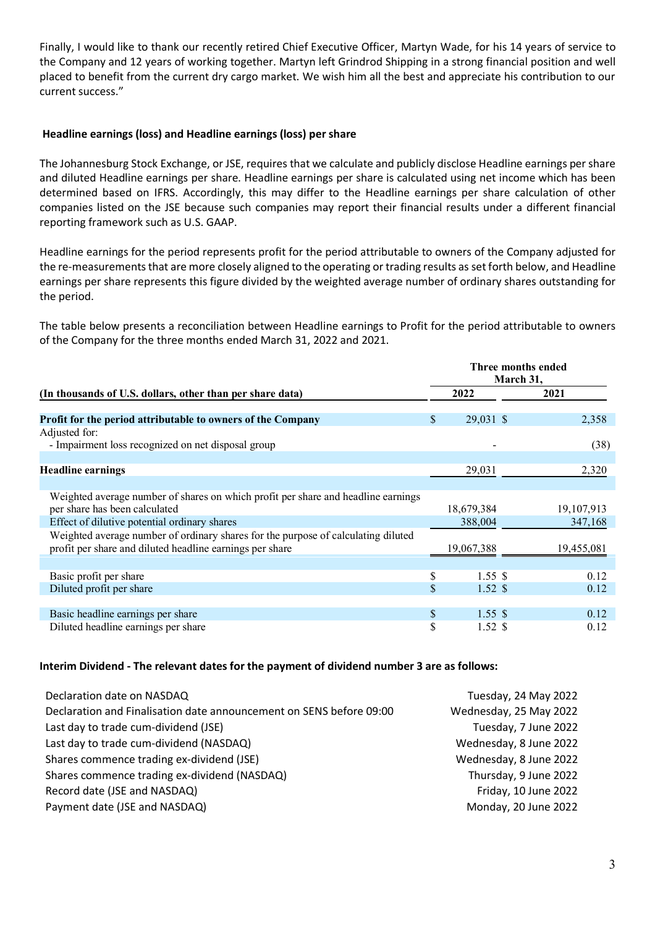Finally, I would like to thank our recently retired Chief Executive Officer, Martyn Wade, for his 14 years of service to the Company and 12 years of working together. Martyn left Grindrod Shipping in a strong financial position and well placed to benefit from the current dry cargo market. We wish him all the best and appreciate his contribution to our current success."

### **Headline earnings (loss) and Headline earnings (loss) per share**

The Johannesburg Stock Exchange, or JSE, requires that we calculate and publicly disclose Headline earnings per share and diluted Headline earnings per share. Headline earnings per share is calculated using net income which has been determined based on IFRS. Accordingly, this may differ to the Headline earnings per share calculation of other companies listed on the JSE because such companies may report their financial results under a different financial reporting framework such as U.S. GAAP.

Headline earnings for the period represents profit for the period attributable to owners of the Company adjusted for the re-measurements that are more closely aligned to the operating or trading results as set forth below, and Headline earnings per share represents this figure divided by the weighted average number of ordinary shares outstanding for the period.

The table below presents a reconciliation between Headline earnings to Profit for the period attributable to owners of the Company for the three months ended March 31, 2022 and 2021.

|                                                                                   |    | Three months ended<br>March 31, |  |            |  |
|-----------------------------------------------------------------------------------|----|---------------------------------|--|------------|--|
| (In thousands of U.S. dollars, other than per share data)                         |    | 2022                            |  | 2021       |  |
|                                                                                   |    |                                 |  |            |  |
| Profit for the period attributable to owners of the Company                       | S  | 29,031 \$                       |  | 2,358      |  |
| Adjusted for:                                                                     |    |                                 |  |            |  |
| - Impairment loss recognized on net disposal group                                |    |                                 |  | (38)       |  |
|                                                                                   |    |                                 |  |            |  |
| <b>Headline earnings</b>                                                          |    | 29,031                          |  | 2,320      |  |
|                                                                                   |    |                                 |  |            |  |
| Weighted average number of shares on which profit per share and headline earnings |    |                                 |  |            |  |
| per share has been calculated                                                     |    | 18,679,384                      |  | 19,107,913 |  |
| Effect of dilutive potential ordinary shares                                      |    | 388,004                         |  | 347,168    |  |
| Weighted average number of ordinary shares for the purpose of calculating diluted |    |                                 |  |            |  |
| profit per share and diluted headline earnings per share                          |    | 19,067,388                      |  | 19,455,081 |  |
|                                                                                   |    |                                 |  |            |  |
| Basic profit per share                                                            | \$ | 1.55S                           |  | 0.12       |  |
| Diluted profit per share                                                          | \$ | $1.52 \text{ }$ \$              |  | 0.12       |  |
|                                                                                   |    |                                 |  |            |  |
| Basic headline earnings per share                                                 | \$ | $1.55 \text{ }$ \$              |  | 0.12       |  |
| Diluted headline earnings per share                                               | \$ | $1.52 \text{ }$ \$              |  | 0.12       |  |

#### **Interim Dividend - The relevant dates for the payment of dividend number 3 are as follows:**

| Declaration date on NASDAQ                                          | Tuesday, 24 May 2022   |
|---------------------------------------------------------------------|------------------------|
| Declaration and Finalisation date announcement on SENS before 09:00 | Wednesday, 25 May 2022 |
| Last day to trade cum-dividend (JSE)                                | Tuesday, 7 June 2022   |
| Last day to trade cum-dividend (NASDAQ)                             | Wednesday, 8 June 2022 |
| Shares commence trading ex-dividend (JSE)                           | Wednesday, 8 June 2022 |
| Shares commence trading ex-dividend (NASDAQ)                        | Thursday, 9 June 2022  |
| Record date (JSE and NASDAQ)                                        | Friday, 10 June 2022   |
| Payment date (JSE and NASDAQ)                                       | Monday, 20 June 2022   |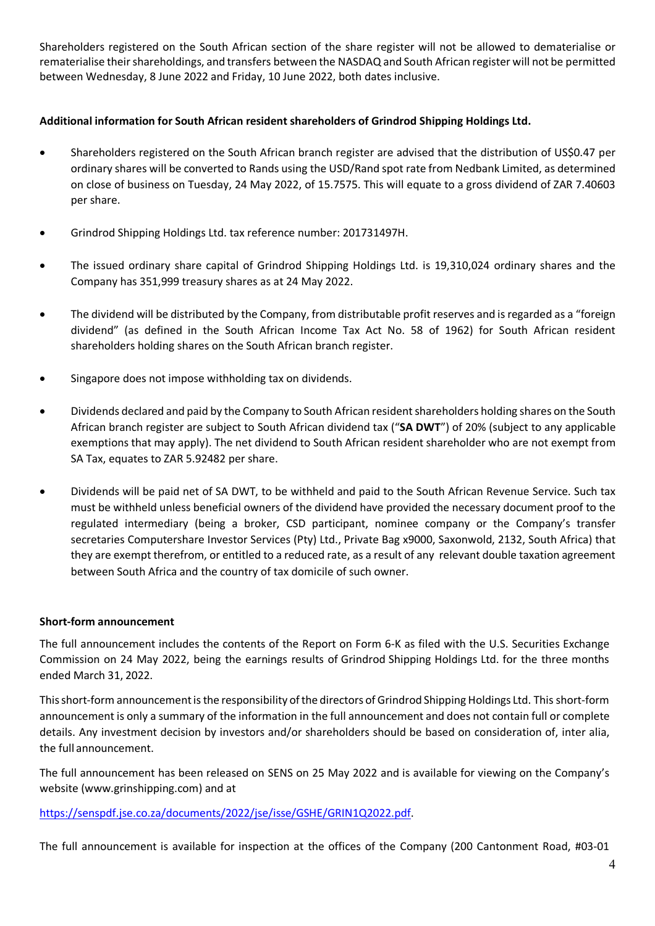Shareholders registered on the South African section of the share register will not be allowed to dematerialise or rematerialise their shareholdings, and transfers between the NASDAQ and South African register will not be permitted between Wednesday, 8 June 2022 and Friday, 10 June 2022, both dates inclusive.

## **Additional information for South African resident shareholders of Grindrod Shipping Holdings Ltd.**

- Shareholders registered on the South African branch register are advised that the distribution of US\$0.47 per ordinary shares will be converted to Rands using the USD/Rand spot rate from Nedbank Limited, as determined on close of business on Tuesday, 24 May 2022, of 15.7575. This will equate to a gross dividend of ZAR 7.40603 per share.
- Grindrod Shipping Holdings Ltd. tax reference number: 201731497H.
- The issued ordinary share capital of Grindrod Shipping Holdings Ltd. is 19,310,024 ordinary shares and the Company has 351,999 treasury shares as at 24 May 2022.
- The dividend will be distributed by the Company, from distributable profit reserves and is regarded as a "foreign dividend" (as defined in the South African Income Tax Act No. 58 of 1962) for South African resident shareholders holding shares on the South African branch register.
- Singapore does not impose withholding tax on dividends.
- Dividends declared and paid by the Company to South African resident shareholders holding shares on the South African branch register are subject to South African dividend tax ("**SA DWT**") of 20% (subject to any applicable exemptions that may apply). The net dividend to South African resident shareholder who are not exempt from SA Tax, equates to ZAR 5.92482 per share.
- Dividends will be paid net of SA DWT, to be withheld and paid to the South African Revenue Service. Such tax must be withheld unless beneficial owners of the dividend have provided the necessary document proof to the regulated intermediary (being a broker, CSD participant, nominee company or the Company's transfer secretaries Computershare Investor Services (Pty) Ltd., Private Bag x9000, Saxonwold, 2132, South Africa) that they are exempt therefrom, or entitled to a reduced rate, as a result of any relevant double taxation agreement between South Africa and the country of tax domicile of such owner.

#### **Short-form announcement**

The full announcement includes the contents of the Report on Form 6-K as filed with the U.S. Securities Exchange Commission on 24 May 2022, being the earnings results of Grindrod Shipping Holdings Ltd. for the three months ended March 31, 2022.

This short-form announcement is the responsibility of the directors of Grindrod Shipping Holdings Ltd. This short-form announcement is only a summary of the information in the full announcement and does not contain full or complete details. Any investment decision by investors and/or shareholders should be based on consideration of, inter alia, the full announcement.

The full announcement has been released on SENS on 25 May 2022 and is available for viewing on the Company's website (www.grinshipping.com) and at

### https://senspdf.jse.co.za/documents/2022/jse/isse/GSHE/GRIN1Q2022.pdf.

The full announcement is available for inspection at the offices of the Company (200 Cantonment Road, #03-01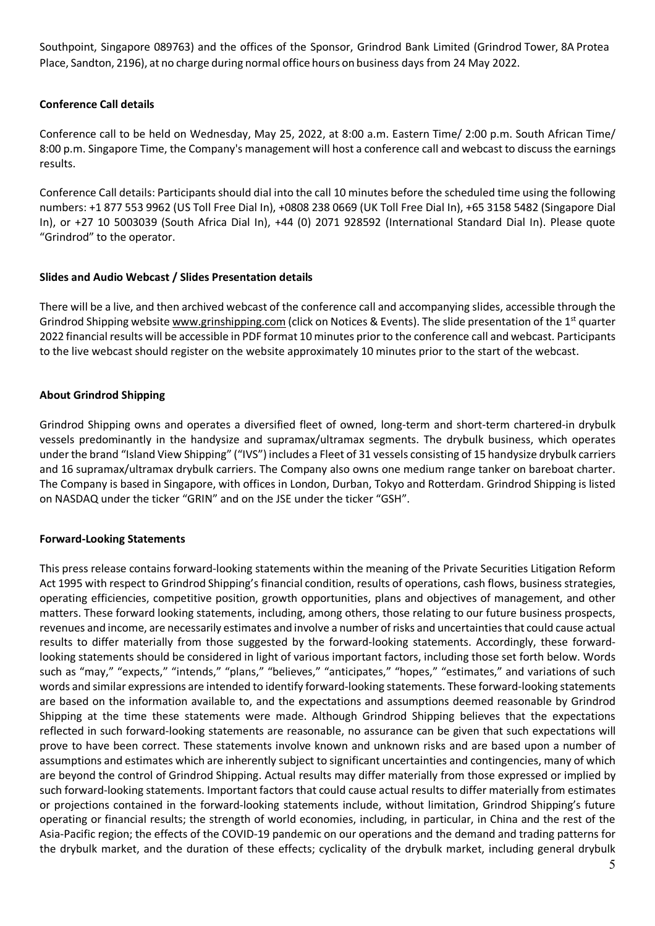Southpoint, Singapore 089763) and the offices of the Sponsor, Grindrod Bank Limited (Grindrod Tower, 8A Protea Place, Sandton, 2196), at no charge during normal office hours on business days from 24 May 2022.

# **Conference Call details**

Conference call to be held on Wednesday, May 25, 2022, at 8:00 a.m. Eastern Time/ 2:00 p.m. South African Time/ 8:00 p.m. Singapore Time, the Company's management will host a conference call and webcast to discuss the earnings results.

Conference Call details: Participants should dial into the call 10 minutes before the scheduled time using the following numbers: +1 877 553 9962 (US Toll Free Dial In), +0808 238 0669 (UK Toll Free Dial In), +65 3158 5482 (Singapore Dial In), or +27 10 5003039 (South Africa Dial In), +44 (0) 2071 928592 (International Standard Dial In). Please quote "Grindrod" to the operator.

### **Slides and Audio Webcast / Slides Presentation details**

There will be a live, and then archived webcast of the conference call and accompanying slides, accessible through the Grindrod Shipping website www.grinshipping.com (click on Notices & Events). The slide presentation of the  $1<sup>st</sup>$  quarter 2022 financial results will be accessible in PDF format 10 minutes prior to the conference call and webcast. Participants to the live webcast should register on the website approximately 10 minutes prior to the start of the webcast.

# **About Grindrod Shipping**

Grindrod Shipping owns and operates a diversified fleet of owned, long-term and short-term chartered-in drybulk vessels predominantly in the handysize and supramax/ultramax segments. The drybulk business, which operates under the brand "Island View Shipping" ("IVS") includes a Fleet of 31 vessels consisting of 15 handysize drybulk carriers and 16 supramax/ultramax drybulk carriers. The Company also owns one medium range tanker on bareboat charter. The Company is based in Singapore, with offices in London, Durban, Tokyo and Rotterdam. Grindrod Shipping is listed on NASDAQ under the ticker "GRIN" and on the JSE under the ticker "GSH".

### **Forward-Looking Statements**

This press release contains forward-looking statements within the meaning of the Private Securities Litigation Reform Act 1995 with respect to Grindrod Shipping's financial condition, results of operations, cash flows, business strategies, operating efficiencies, competitive position, growth opportunities, plans and objectives of management, and other matters. These forward looking statements, including, among others, those relating to our future business prospects, revenues and income, are necessarily estimates and involve a number of risks and uncertainties that could cause actual results to differ materially from those suggested by the forward-looking statements. Accordingly, these forwardlooking statements should be considered in light of various important factors, including those set forth below. Words such as "may," "expects," "intends," "plans," "believes," "anticipates," "hopes," "estimates," and variations of such words and similar expressions are intended to identify forward-looking statements. These forward-looking statements are based on the information available to, and the expectations and assumptions deemed reasonable by Grindrod Shipping at the time these statements were made. Although Grindrod Shipping believes that the expectations reflected in such forward-looking statements are reasonable, no assurance can be given that such expectations will prove to have been correct. These statements involve known and unknown risks and are based upon a number of assumptions and estimates which are inherently subject to significant uncertainties and contingencies, many of which are beyond the control of Grindrod Shipping. Actual results may differ materially from those expressed or implied by such forward-looking statements. Important factors that could cause actual results to differ materially from estimates or projections contained in the forward-looking statements include, without limitation, Grindrod Shipping's future operating or financial results; the strength of world economies, including, in particular, in China and the rest of the Asia-Pacific region; the effects of the COVID-19 pandemic on our operations and the demand and trading patterns for the drybulk market, and the duration of these effects; cyclicality of the drybulk market, including general drybulk